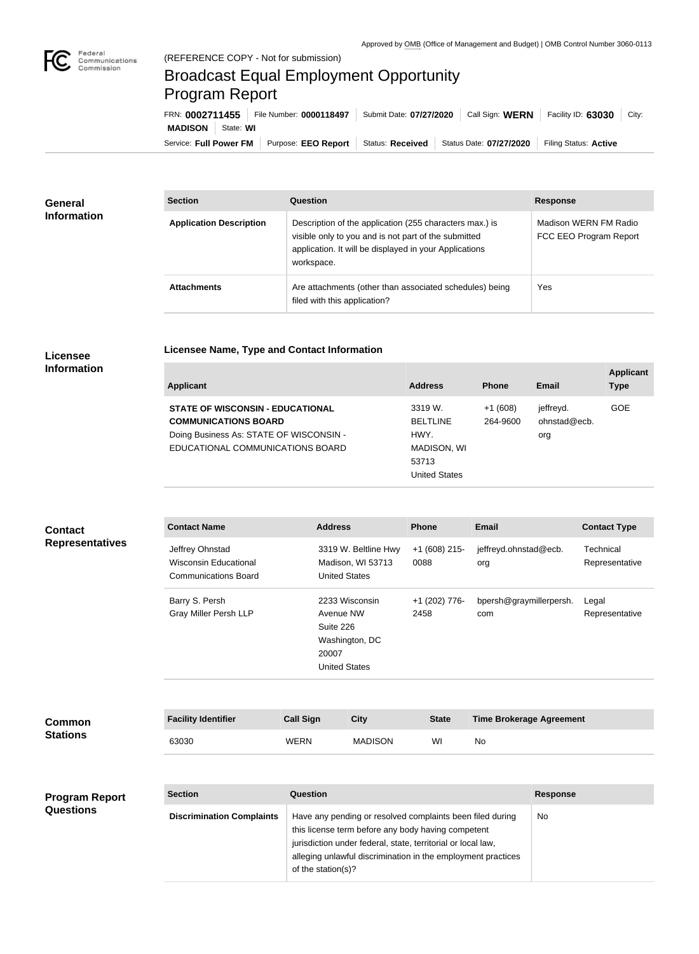

## Broadcast Equal Employment Opportunity Program Report

**Licensee Name, Type and Contact Information**

| FRN: 0002711455            |                     | File Number: 0000118497 Submit Date: 07/27/2020 Call Sign: WERN | Facility ID: 63030    | City: |
|----------------------------|---------------------|-----------------------------------------------------------------|-----------------------|-------|
| <b>MADISON</b>   State: WI |                     |                                                                 |                       |       |
| Service: Full Power FM     | Purpose: EEO Report | Status: Received Status Date: 07/27/2020                        | Filing Status: Active |       |

| General<br><b>Information</b> | <b>Section</b>                 | <b>Question</b>                                                                                                                                                                         | <b>Response</b>                                 |
|-------------------------------|--------------------------------|-----------------------------------------------------------------------------------------------------------------------------------------------------------------------------------------|-------------------------------------------------|
|                               | <b>Application Description</b> | Description of the application (255 characters max.) is<br>visible only to you and is not part of the submitted<br>application. It will be displayed in your Applications<br>workspace. | Madison WERN FM Radio<br>FCC EEO Program Report |
|                               | <b>Attachments</b>             | Are attachments (other than associated schedules) being<br>filed with this application?                                                                                                 | Yes                                             |

## **Licensee Information**

| Applicant                               | <b>Address</b>  | <b>Phone</b> | Email        | <b>Applicant</b><br>Type |
|-----------------------------------------|-----------------|--------------|--------------|--------------------------|
| <b>STATE OF WISCONSIN - EDUCATIONAL</b> | 3319 W.         | $+1(608)$    | jeffreyd.    | GOE                      |
| <b>COMMUNICATIONS BOARD</b>             | <b>BELTLINE</b> | 264-9600     | ohnstad@ecb. |                          |
| Doing Business As: STATE OF WISCONSIN - | HWY.            |              | org          |                          |
| EDUCATIONAL COMMUNICATIONS BOARD        | MADISON, WI     |              |              |                          |

53713

United States

| <b>Contact</b>                   | <b>Contact Name</b>                                                            |                                                                                             | <b>Address</b><br><b>Phone</b>                                                                                                                                                                                                                                              |                       | <b>Email</b>                          |                 | <b>Contact Type</b>         |
|----------------------------------|--------------------------------------------------------------------------------|---------------------------------------------------------------------------------------------|-----------------------------------------------------------------------------------------------------------------------------------------------------------------------------------------------------------------------------------------------------------------------------|-----------------------|---------------------------------------|-----------------|-----------------------------|
| <b>Representatives</b>           | Jeffrey Ohnstad<br><b>Wisconsin Educational</b><br><b>Communications Board</b> |                                                                                             | 3319 W. Beltline Hwy<br>$+1$ (608) 215-<br>Madison, WI 53713<br>0088<br><b>United States</b>                                                                                                                                                                                |                       | jeffreyd.ohnstad@ecb.<br>org          |                 | Technical<br>Representative |
|                                  | Barry S. Persh<br><b>Gray Miller Persh LLP</b>                                 | 2233 Wisconsin<br>Avenue NW<br>Suite 226<br>Washington, DC<br>20007<br><b>United States</b> |                                                                                                                                                                                                                                                                             | +1 (202) 776-<br>2458 | bpersh@graymillerpersh.<br>com        |                 | Legal<br>Representative     |
| <b>Common</b><br><b>Stations</b> | <b>Facility Identifier</b><br>63030                                            | <b>Call Sign</b><br><b>WERN</b>                                                             | <b>City</b><br><b>MADISON</b>                                                                                                                                                                                                                                               | <b>State</b><br>WI    | <b>Time Brokerage Agreement</b><br>No |                 |                             |
| <b>Program Report</b>            | <b>Section</b>                                                                 | Question                                                                                    |                                                                                                                                                                                                                                                                             |                       |                                       | <b>Response</b> |                             |
| <b>Questions</b>                 | <b>Discrimination Complaints</b>                                               |                                                                                             | Have any pending or resolved complaints been filed during<br>No<br>this license term before any body having competent<br>jurisdiction under federal, state, territorial or local law,<br>alleging unlawful discrimination in the employment practices<br>of the station(s)? |                       |                                       |                 |                             |